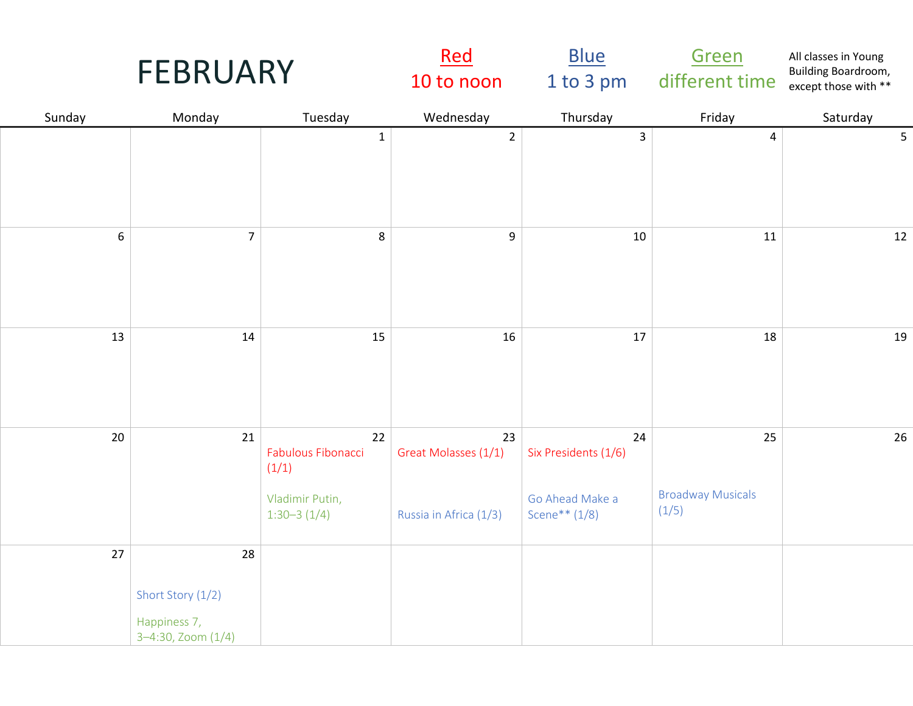| <b>FEBRUARY</b> |                                                               |                                                                       | <u>Red</u><br>10 to noon                             | <b>Blue</b><br>1 to 3 pm                                         | Green<br>different time                 | All classes in Young<br>Building Boardroom,<br>except those with ** |
|-----------------|---------------------------------------------------------------|-----------------------------------------------------------------------|------------------------------------------------------|------------------------------------------------------------------|-----------------------------------------|---------------------------------------------------------------------|
| Sunday          | Monday                                                        | Tuesday                                                               | Wednesday                                            | Thursday                                                         | Friday                                  | Saturday                                                            |
|                 |                                                               | $\mathbf{1}$                                                          | $\overline{2}$                                       | $\mathbf{3}$                                                     | 4                                       | 5                                                                   |
| 6               | $\overline{7}$                                                | 8                                                                     | $\boldsymbol{9}$                                     | 10                                                               | 11                                      | 12                                                                  |
| 13              | 14                                                            | 15                                                                    | 16                                                   | 17                                                               | 18                                      | 19                                                                  |
| 20              | 21                                                            | 22<br>Fabulous Fibonacci<br>(1/1)<br>Vladimir Putin,<br>$1:30-3(1/4)$ | 23<br>Great Molasses (1/1)<br>Russia in Africa (1/3) | 24<br>Six Presidents (1/6)<br>Go Ahead Make a<br>Scene** $(1/8)$ | 25<br><b>Broadway Musicals</b><br>(1/5) | 26                                                                  |
| 27              | 28<br>Short Story (1/2)<br>Happiness 7,<br>3-4:30, Zoom (1/4) |                                                                       |                                                      |                                                                  |                                         |                                                                     |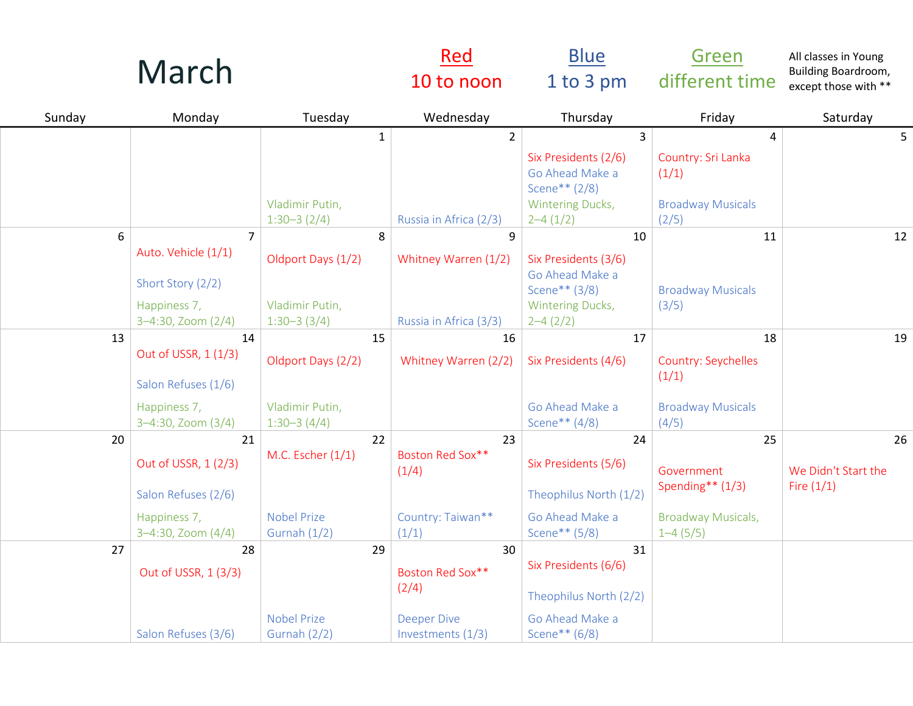|        | March                                                                                            |                                                                 | <u>Red</u><br>10 to noon                                                   | <b>Blue</b><br>1 to 3 pm                                                                                         | Green<br>different time                                                  | All classes in Young<br>Building Boardroom,<br>except those with ** |
|--------|--------------------------------------------------------------------------------------------------|-----------------------------------------------------------------|----------------------------------------------------------------------------|------------------------------------------------------------------------------------------------------------------|--------------------------------------------------------------------------|---------------------------------------------------------------------|
| Sunday | Monday                                                                                           | Tuesday                                                         | Wednesday                                                                  | Thursday                                                                                                         | Friday                                                                   | Saturday                                                            |
|        |                                                                                                  | $\mathbf{1}$<br>Vladimir Putin,<br>$1:30-3(2/4)$                | $\overline{2}$<br>Russia in Africa (2/3)                                   | $\overline{3}$<br>Six Presidents (2/6)<br>Go Ahead Make a<br>Scene** $(2/8)$<br>Wintering Ducks,<br>$2 - 4(1/2)$ | 4<br>Country: Sri Lanka<br>(1/1)<br><b>Broadway Musicals</b><br>(2/5)    | 5                                                                   |
| 6      | $\overline{7}$<br>Auto. Vehicle (1/1)<br>Short Story (2/2)<br>Happiness 7,<br>3-4:30, Zoom (2/4) | 8<br>Oldport Days (1/2)<br>Vladimir Putin,<br>$1:30-3(3/4)$     | 9<br>Whitney Warren (1/2)<br>Russia in Africa (3/3)                        | 10<br>Six Presidents (3/6)<br>Go Ahead Make a<br>Scene** $(3/8)$<br>Wintering Ducks,<br>$2 - 4(2/2)$             | 11<br><b>Broadway Musicals</b><br>(3/5)                                  | 12                                                                  |
| 13     | 14<br>Out of USSR, 1 (1/3)<br>Salon Refuses (1/6)<br>Happiness 7,<br>3-4:30, Zoom (3/4)          | 15<br>Oldport Days (2/2)<br>Vladimir Putin,<br>$1:30-3(4/4)$    | 16<br>Whitney Warren (2/2)                                                 | 17<br>Six Presidents (4/6)<br>Go Ahead Make a<br>Scene** (4/8)                                                   | 18<br>Country: Seychelles<br>(1/1)<br><b>Broadway Musicals</b><br>(4/5)  | 19                                                                  |
| 20     | 21<br>Out of USSR, 1 (2/3)<br>Salon Refuses (2/6)<br>Happiness 7,<br>3-4:30, Zoom (4/4)          | 22<br>M.C. Escher (1/1)<br><b>Nobel Prize</b><br>Gurnah $(1/2)$ | 23<br>Boston Red Sox**<br>(1/4)<br>Country: Taiwan**<br>(1/1)              | 24<br>Six Presidents (5/6)<br>Theophilus North (1/2)<br>Go Ahead Make a<br>Scene** (5/8)                         | 25<br>Government<br>Spending** (1/3)<br>Broadway Musicals,<br>$1-4(5/5)$ | 26<br>We Didn't Start the<br>Fire $(1/1)$                           |
| 27     | 28<br>Out of USSR, 1 (3/3)<br>Salon Refuses (3/6)                                                | 29<br><b>Nobel Prize</b><br><b>Gurnah (2/2)</b>                 | 30<br>Boston Red Sox**<br>(2/4)<br><b>Deeper Dive</b><br>Investments (1/3) | 31<br>Six Presidents (6/6)<br>Theophilus North (2/2)<br>Go Ahead Make a<br>Scene** (6/8)                         |                                                                          |                                                                     |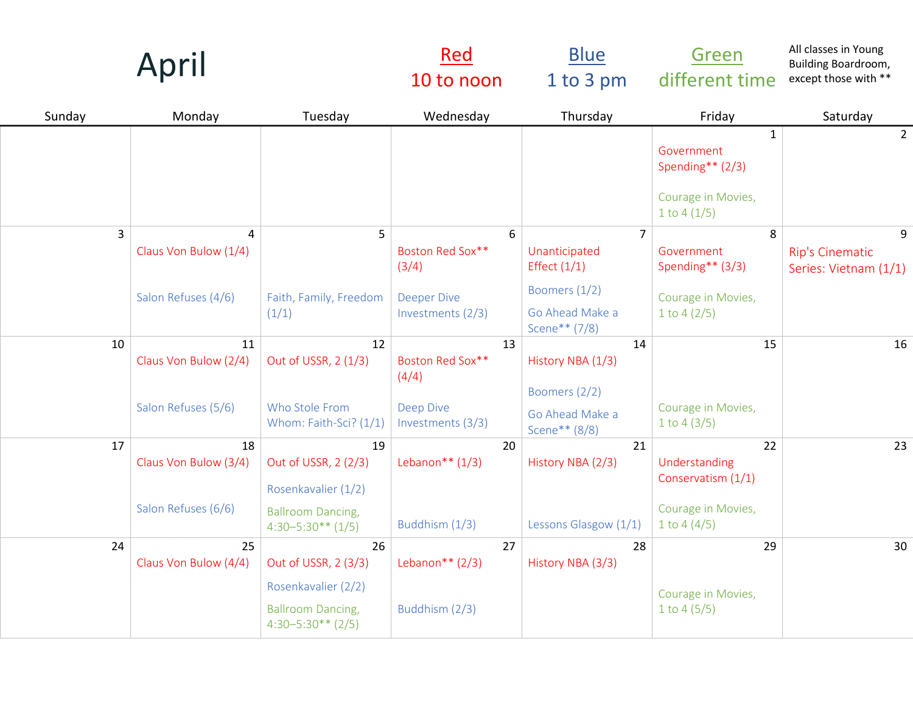|        | April                                             |                                                                        | <u>Red</u><br>10 to noon                             | <b>Blue</b><br>1 to 3 pm                                           | Green<br>different time                                                               | All classes in Young<br>Building Boardroom,<br>except those with ** |
|--------|---------------------------------------------------|------------------------------------------------------------------------|------------------------------------------------------|--------------------------------------------------------------------|---------------------------------------------------------------------------------------|---------------------------------------------------------------------|
| Sunday | Monday                                            | Tuesday                                                                | Wednesday                                            | Thursday                                                           | Friday                                                                                | Saturday                                                            |
|        |                                                   |                                                                        |                                                      |                                                                    | $\mathbf{1}$<br>Government<br>Spending** (2/3)<br>Courage in Movies,<br>1 to $4(1/5)$ | $\overline{2}$                                                      |
| 3      | 4<br>Claus Von Bulow (1/4)<br>Salon Refuses (4/6) | 5<br>Faith, Family, Freedom                                            | 6<br>Boston Red Sox**<br>(3/4)<br><b>Deeper Dive</b> | $\overline{7}$<br>Unanticipated<br>Effect $(1/1)$<br>Boomers (1/2) | 8<br>Government<br>Spending** (3/3)<br>Courage in Movies,                             | 9<br>Rip's Cinematic<br>Series: Vietnam (1/1)                       |
|        |                                                   | (1/1)                                                                  | Investments (2/3)                                    | Go Ahead Make a<br>Scene** (7/8)                                   | 1 to $4(2/5)$                                                                         |                                                                     |
| 10     | 11<br>Claus Von Bulow (2/4)                       | 12<br>Out of USSR, 2 (1/3)<br>Who Stole From                           | 13<br>Boston Red Sox**<br>(4/4)                      | 14<br>History NBA (1/3)<br>Boomers (2/2)                           | 15                                                                                    | 16                                                                  |
|        | Salon Refuses (5/6)                               | Whom: Faith-Sci? (1/1)                                                 | <b>Deep Dive</b><br>Investments (3/3)                | Go Ahead Make a<br>Scene** (8/8)                                   | Courage in Movies,<br>1 to $4(3/5)$                                                   |                                                                     |
| 17     | 18<br>Claus Von Bulow (3/4)                       | 19<br>Out of USSR, 2 (2/3)<br>Rosenkavalier (1/2)                      | 20<br>Lebanon** $(1/3)$                              | 21<br>History NBA (2/3)                                            | 22<br>Understanding<br>Conservatism (1/1)                                             | 23                                                                  |
|        | Salon Refuses (6/6)                               | <b>Ballroom Dancing,</b><br>$4:30-5:30**$ (1/5)                        | Buddhism (1/3)                                       | Lessons Glasgow (1/1)                                              | Courage in Movies,<br>1 to $4(4/5)$                                                   |                                                                     |
| 24     | 25<br>Claus Von Bulow (4/4)                       | 26<br>Out of USSR, 2 (3/3)                                             | 27<br>Lebanon** $(2/3)$                              | 28<br>History NBA (3/3)                                            | 29                                                                                    | 30 <sup>°</sup>                                                     |
|        |                                                   | Rosenkavalier (2/2)<br><b>Ballroom Dancing,</b><br>$4:30-5:30**$ (2/5) | Buddhism (2/3)                                       |                                                                    | Courage in Movies,<br>1 to $4(5/5)$                                                   |                                                                     |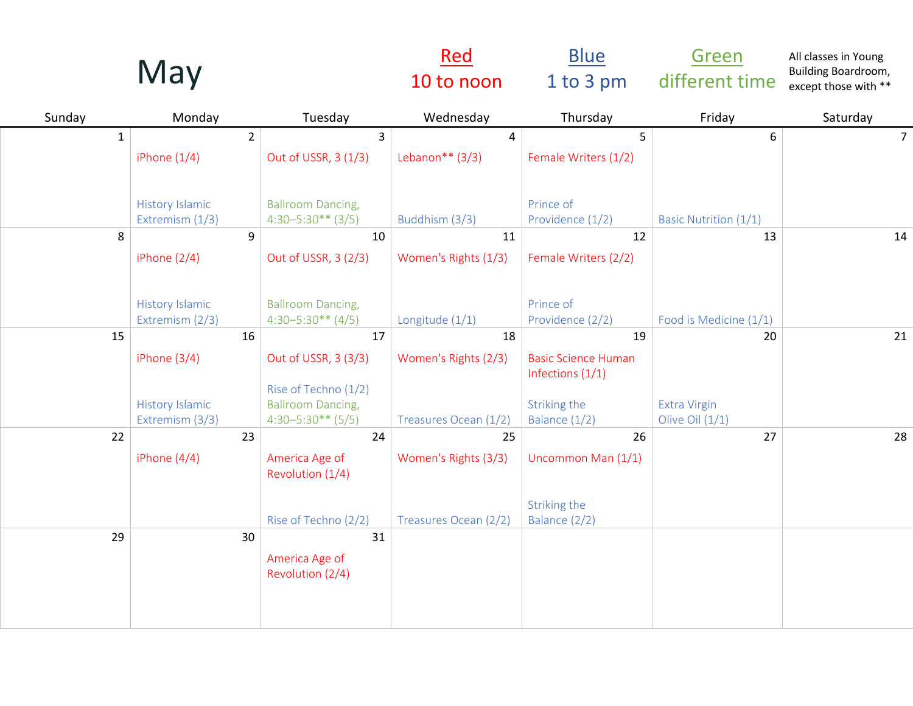|              | May                    |                                                  | <u>Red</u><br>10 to noon | <b>Blue</b><br>1 to 3 pm                         | Green<br>different time      | All classes in Young<br>Building Boardroom,<br>except those with ** |
|--------------|------------------------|--------------------------------------------------|--------------------------|--------------------------------------------------|------------------------------|---------------------------------------------------------------------|
| Sunday       | Monday                 | Tuesday                                          | Wednesday                | Thursday                                         | Friday                       | Saturday                                                            |
| $\mathbf{1}$ | 2 <sup>1</sup>         | $\overline{3}$                                   | 4                        | 5                                                | 6                            | 7 <sup>1</sup>                                                      |
|              | iPhone $(1/4)$         | Out of USSR, 3 (1/3)                             | Lebanon** $(3/3)$        | Female Writers (1/2)                             |                              |                                                                     |
|              | <b>History Islamic</b> | <b>Ballroom Dancing,</b>                         |                          | Prince of                                        |                              |                                                                     |
|              | Extremism (1/3)        | $4:30-5:30**$ (3/5)                              | Buddhism (3/3)           | Providence (1/2)                                 | <b>Basic Nutrition (1/1)</b> |                                                                     |
| 8            | 9                      | 10                                               | 11                       | 12                                               | 13                           | 14                                                                  |
|              | iPhone $(2/4)$         | Out of USSR, 3 (2/3)                             | Women's Rights (1/3)     | Female Writers (2/2)                             |                              |                                                                     |
|              | <b>History Islamic</b> | <b>Ballroom Dancing,</b>                         |                          | Prince of                                        |                              |                                                                     |
|              | Extremism (2/3)        | $4:30-5:30**$ (4/5)                              | Longitude (1/1)          | Providence (2/2)                                 | Food is Medicine (1/1)       |                                                                     |
| 15           | 16                     | 17                                               | 18                       | 19                                               | 20                           | 21                                                                  |
|              | iPhone $(3/4)$         | Out of USSR, 3 (3/3)                             | Women's Rights (2/3)     | <b>Basic Science Human</b><br>Infections $(1/1)$ |                              |                                                                     |
|              | <b>History Islamic</b> | Rise of Techno (1/2)<br><b>Ballroom Dancing,</b> |                          | Striking the                                     | <b>Extra Virgin</b>          |                                                                     |
|              | Extremism (3/3)        | $4:30-5:30**$ (5/5)                              | Treasures Ocean (1/2)    | Balance (1/2)                                    | Olive Oil $(1/1)$            |                                                                     |
| 22           | 23                     | 24                                               | 25                       | 26                                               | 27                           | 28                                                                  |
|              | iPhone $(4/4)$         | America Age of<br>Revolution (1/4)               | Women's Rights (3/3)     | Uncommon Man (1/1)                               |                              |                                                                     |
|              |                        |                                                  |                          | Striking the                                     |                              |                                                                     |
|              |                        | Rise of Techno (2/2)                             | Treasures Ocean (2/2)    | Balance (2/2)                                    |                              |                                                                     |
| 29           | 30                     | 31<br>America Age of<br>Revolution (2/4)         |                          |                                                  |                              |                                                                     |
|              |                        |                                                  |                          |                                                  |                              |                                                                     |